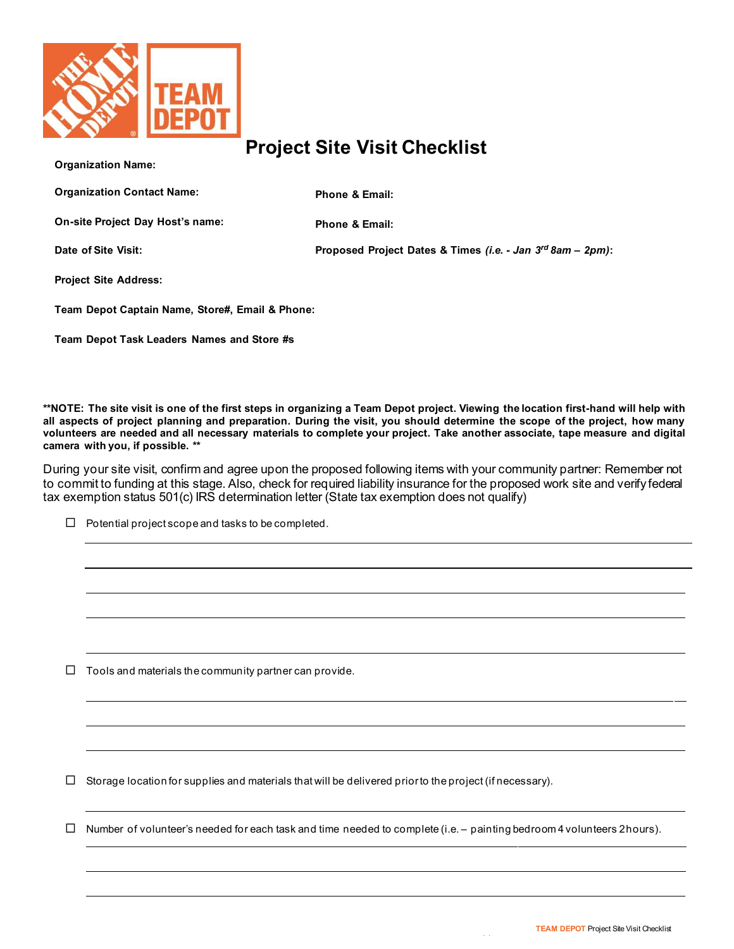

## **Project Site Visit Checklist**

| <b>Organization Name:</b>                       |                                                            |
|-------------------------------------------------|------------------------------------------------------------|
| <b>Organization Contact Name:</b>               | <b>Phone &amp; Email:</b>                                  |
| On-site Project Day Host's name:                | <b>Phone &amp; Email:</b>                                  |
| Date of Site Visit:                             | Proposed Project Dates & Times (i.e. - Jan 3rd 8am - 2pm): |
| <b>Project Site Address:</b>                    |                                                            |
| Team Depot Captain Name, Store#, Email & Phone: |                                                            |
| Team Depot Task Leaders Names and Store #s      |                                                            |
|                                                 |                                                            |
|                                                 |                                                            |

**\*\*NOTE: The site visit is one of the first steps in organizing a Team Depot project. Viewing the location first-hand will help with all aspects of project planning and preparation. During the visit, you should determine the scope of the project, how many volunteers are needed and all necessary materials to complete your project. Take another associate, tape measure and digital camera with you, if possible. \*\***

During your site visit, confirm and agree upon the proposed following items with your community partner: Remember not to commit to funding at this stage. Also, check for required liability insurance for the proposed work site and verify federal tax exemption status 501(c) IRS determination letter (State tax exemption does not qualify)

 $\Box$  Potential project scope and tasks to be completed.

 $\Box$  Tools and materials the community partner can provide.

 $\Box$  Storage location for supplies and materials that will be delivered prior to the project (if necessary).

 $\Box$  Number of volunteer's needed for each task and time needed to complete (i.e. – painting bedroom 4 volunteers 2hours).

| 1